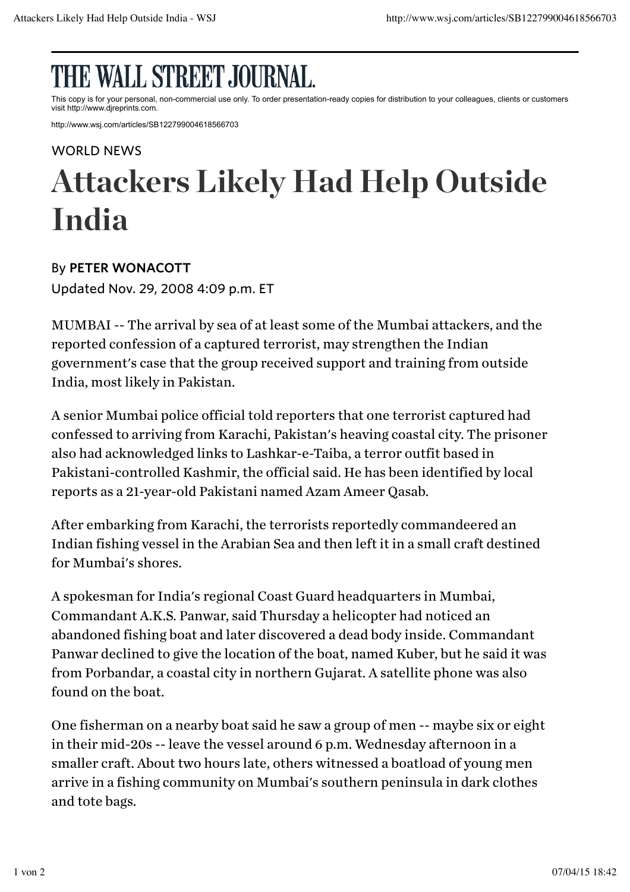## THE WALL STREET JOURNAL.

This copy is for your personal, non-commercial use only. To order presentation-ready copies for distribution to your colleagues, clients or customers visit http://www.djreprints.com.

http://www.wsj.com/articles/SB122799004618566703

## WORLD NEWS Attackers Likely Had Help Outside India

Updated Nov. 29, 2008 4:09 p.m. ET By PETER WONACOTT

MUMBAI -- The arrival by sea of at least some of the Mumbai attackers, and the reported confession of a captured terrorist, may strengthen the Indian government's case that the group received support and training from outside India, most likely in Pakistan.

A senior Mumbai police official told reporters that one terrorist captured had confessed to arriving from Karachi, Pakistan's heaving coastal city. The prisoner also had acknowledged links to Lashkar-e-Taiba, a terror outfit based in Pakistani-controlled Kashmir, the official said. He has been identified by local reports as a 21-year-old Pakistani named Azam Ameer Qasab.

After embarking from Karachi, the terrorists reportedly commandeered an Indian fishing vessel in the Arabian Sea and then left it in a small craft destined for Mumbai's shores.

A spokesman for India's regional Coast Guard headquarters in Mumbai, Commandant A.K.S. Panwar, said Thursday a helicopter had noticed an abandoned fishing boat and later discovered a dead body inside. Commandant Panwar declined to give the location of the boat, named Kuber, but he said it was from Porbandar, a coastal city in northern Gujarat. A satellite phone was also found on the boat.

One fisherman on a nearby boat said he saw a group of men -- maybe six or eight in their mid-20s -- leave the vessel around 6 p.m. Wednesday afternoon in a smaller craft. About two hours late, others witnessed a boatload of young men arrive in a fishing community on Mumbai's southern peninsula in dark clothes and tote bags.